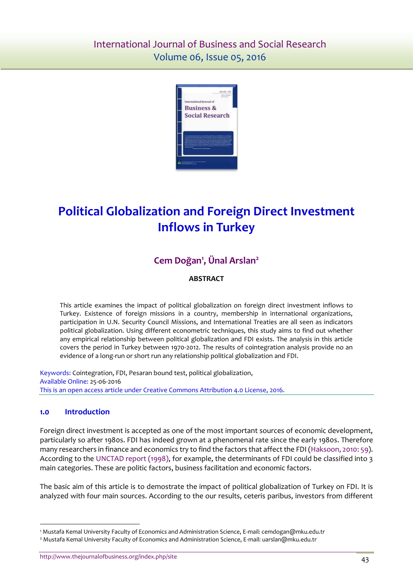

# **Political Globalization and Foreign Direct Investment Inflows in Turkey**

# **Cem Doğan<sup>1</sup> , Ünal Arslan<sup>2</sup>**

## **ABSTRACT**

This article examines the impact of political globalization on foreign direct investment inflows to Turkey. Existence of foreign missions in a country, membership in international organizations, participation in U.N. Security Council Missions, and International Treaties are all seen as indicators political globalization. Using different econometric techniques, this study aims to find out whether any empirical relationship between political globalization and FDI exists. The analysis in this article covers the period in Turkey between 1970-2012. The results of cointegration analysis provide no an evidence of a long-run or short run any relationship political globalization and FDI.

Keywords: Cointegration, FDI, Pesaran bound test, political globalization, Available Online: 25-06-2016 This is an open access article under Creative Commons Attribution 4.0 License, 2016.

#### **1.0 Introduction**

 $\ddot{\phantom{a}}$ 

Foreign direct investment is accepted as one of the most important sources of economic development, particularly so after 1980s. FDI has indeed grown at a phenomenal rate since the early 1980s. Therefore many researchers in finance and economics try to find the factors that affect the FDI [\(Haksoon, 2010:](#page-5-0) 59). According to the [UNCTAD report \(1998\),](#page-5-1) for example, the determinants of FDI could be classified into 3 main categories. These are politic factors, business facilitation and economic factors.

The basic aim of this article is to demostrate the impact of political globalization of Turkey on FDI. It is analyzed with four main sources. According to the our results, ceteris paribus, investors from different

<sup>1</sup> Mustafa Kemal University Faculty of Economics and Administration Science, E-mail: cemdogan@mku.edu.tr

<sup>2</sup> Mustafa Kemal University Faculty of Economics and Administration Science, E-mail: uarslan@mku.edu.tr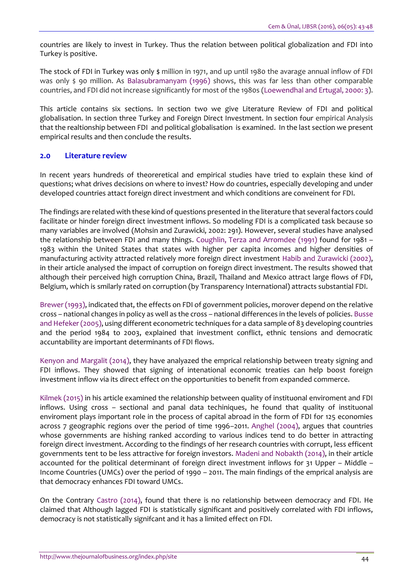countries are likely to invest in Turkey. Thus the relation between political globalization and FDI into Turkey is positive.

The stock of FDI in Turkey was only **\$** million in 1971, and up until 1980 the avarage annual inflow of FDI was only \$ 90 million. As Balasubramanyam (1996) shows, this was far less than other comparable countries, and FDI did not increase significantly for most of the 1980s [\(Loewendhal and Ertugal, 2000: 3\)](#page-5-2).

This article contains six sections. In section two we give Literature Review of FDI and political globalisation. In section three Turkey and Foreign Direct Investment. In section four empirical Analysis that the realtionship between FDI and political globalisation is examined. In the last section we present empirical results and then conclude the results.

#### **2.0 Literature review**

In recent years hundreds of theoreretical and empirical studies have tried to explain these kind of questions; what drives decisions on where to invest? How do countries, especially developing and under developed countries attact foreign direct investment and which conditions are conveinent for FDI.

The findings are related with these kind of questions presented in the literature that several factors could facilitate or hinder foreign direct investment inflows. So modeling FDI is a complicated task because so many variables are involved (Mohsin and Zurawicki, 2002: 291). However, several studies have analysed the relationship between FDI and many things. Coughlin, Terza and Arromdee (1991) found for 1981 – 1983 within the United States that states with higher per capita incomes and higher densities of manufacturing activity attracted relatively more foreign direct investment [Habib and Zurawicki \(2002\),](#page-5-0) in their article analysed the impact of corruption on foreign direct investment. The results showed that although their perceived high corruption China, Brazil, Thailand and Mexico attract large flows of FDI, Belgium, which is smilarly rated on corruption (by Transparency International) attracts substantial FDI.

[Brewer \(1993\),](#page-4-0) indicated that, the effects on FDI of government policies, morover depend on the relative cross – national changes in policy as well as the cross – national differences in the levels of policies[. Busse](#page-4-0)  [and Hefeker \(2005\),](#page-4-0) using different econometric techniques for a data sample of 83 developing countries and the period 1984 to 2003, explained that investment conflict, ethnic tensions and democratic accuntability are important determinants of FDI flows.

[Kenyon and Margalit \(2014\),](#page-5-3) they have analyazed the emprical relationship between treaty signing and FDI inflows. They showed that signing of intenational economic treaties can help boost foreign investment inflow via its direct effect on the opportunities to benefit from expanded commerce.

[Kilmek \(2015\)](file:///C:/Users/HP/Downloads/International%23Kilmek) in his article examined the relationship between quality of instituonal enviroment and FDI inflows. Using cross – sectional and panal data techiniques, he found that quality of instituonal enviroment plays important role in the process of capital abroad in the form of FDI for 125 economies across 7 geographic regions over the period of time 1996–2011. [Anghel \(2004\),](#page-4-1) argues that countries whose governments are hishing ranked according to various indices tend to do better in attracting foreign direct investment. According to the findings of her research countries with corrupt, less efficent governments tent to be less attractive for foreign investors. [Madeni and Nobakth \(2014\),](#page-5-4) in their article accounted for the political determinant of foreign direct investment inflows for 31 Upper – Middle – Income Countries (UMCs) over the period of 1990 – 2011. The main findings of the emprical analysis are that democracy enhances FDI toward UMCs.

On the Contrary [Castro \(2014\),](#page-5-5) found that there is no relationship between democracy and FDI. He claimed that Although lagged FDI is statistically significant and positively correlated with FDI inflows, democracy is not statistically signifcant and it has a limited effect on FDI.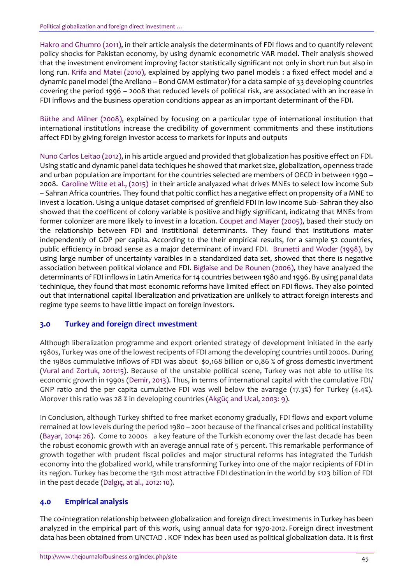[Hakro and Ghumro \(2011\),](#page-5-0) in their article analysis the determinants of FDI flows and to quantify relevent policy shocks for Pakistan economy, by using dynamic econometric VAR model. Their analysis showed that the investment enviroment improving factor statistically significant not only in short run but also in long run. [Krifa and Matei \(2010\),](file:///C:/Users/HP/Downloads/International%23Kilmek) explained by applying two panel models : a fixed effect model and a dynamic panel model (the Arellano – Bond GMM estimator) for a data sample of 33 developing countries covering the period 1996 – 2008 that reduced levels of political risk, are associated with an increase in FDI inflows and the business operation conditions appear as an important determinant of the FDI.

[Büthe and Milner \(2008\),](#page-4-0) explained by focusing on a particular type of international institution that international institutİons increase the credibility of government commitments and these institutions affect FDI by giving foreign investor access to markets for inputs and outputs

[Nuno Carlos Leitao \(2012\),](#page-5-5) in his article argued and provided that globalization has positive effect on FDI. Using static and dynamic panel data techiques he showed that market size, globalization, openness trade and urban population are important for the countries selected are members of OECD in between 1990 – 2008. [Caroline Witte et al., \(2015\)](#page-5-5) in their article analyazed what drives MNEs to select low income Sub – Sahran Africa countries. They found that poltic conflict has a negative effect on propensity of a MNE to invest a location. Using a unique dataset comprised of grenfield FDI in low income Sub- Sahran they also showed that the coefficent of colony variable is positive and higly significant, indicatng that MNEs from former colonizer are more likely to invest in a location. Coupet and Mayer (2005), based their study on the relationship between FDI and instititional determinants. They found that institutions mater independently of GDP per capita. According to the their empirical results, for a sample 52 countries, public efficiency in broad sense as a major determinant of invard FDI. [Brunetti and Woder \(1998\),](#page-4-0) by using large number of uncertainty varaibles in a standardized data set, showed that there is negative association between political violance and FDI. [Biglaise and De Rounen \(2006\),](#page-4-2) they have analyzed the determinants of FDI inflows in Latin America for 14 countries between 1980 and 1996. By using panal data techinique, they found that most economic reforms have limited effect on FDI flows. They also pointed out that international capital liberalization and privatization are unlikely to attract foreign interests and regime type seems to have little impact on foreign investors.

## **3.0 Turkey and foreign direct ınvestment**

Although liberalization programme and export oriented strategy of development initiated in the early 1980s, Turkey was one of the lowest recipents of FDI among the developing countries until 2000s. During the 1980s cummulative inflows of FDI was about **\$**0,168 billion or 0,86 % of gross domestic invertment [\(Vural and Zortuk, 2011:15\)](#page-5-6). Because of the unstable political scene, Turkey was not able to utilise its economic growth in 1990s [\(Demir, 2013\)](#page-5-7). Thus, in terms of international capital with the cumulative FDI/ GNP ratio and the per capita cumulative FDI was well below the avarage (17.3%) for Turkey (4.4%). Morover this ratio was 28 % in developing countries (Akgüç and Ucal, 2003: 9).

In Conclusion, although Turkey shifted to free market economy gradually, FDI flows and export volume remained at low levels during the period 1980 – 2001 because of the financal crises and political instability [\(Bayar, 2014: 26\)](#page-4-2). Come to 2000s a key feature of the Turkish economy over the last decade has been the robust economic growth with an average annual rate of 5 percent. This remarkable performance of growth together with prudent fiscal policies and major structural reforms has integrated the Turkish economy into the globalized world, while transforming Turkey into one of the major recipients of FDI in its region. Turkey has become the 13th most attractive FDI destination in the world by \$123 billion of FDI in the past decade ([Dalgıç, at a](#page-5-7)l., 2012: 10).

## **4.0 Empirical analysis**

The co-integration relationship between globalization and foreign direct investments in Turkey has been analyzed in the empirical part of this work, using annual data for 1970-2012. Foreign direct investment data has been obtained from UNCTAD . KOF index has been used as political globalization data. It is first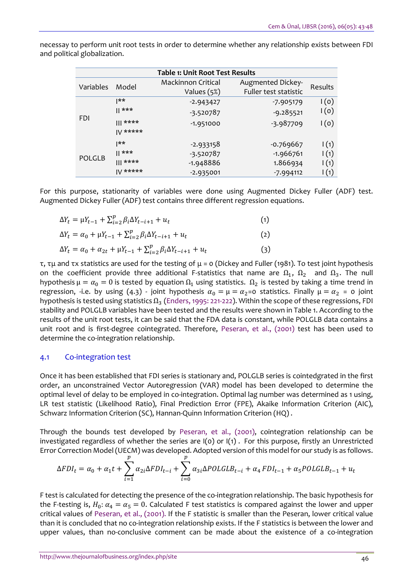| <b>Table 1: Unit Root Test Results</b> |            |                    |                       |                          |  |  |  |
|----------------------------------------|------------|--------------------|-----------------------|--------------------------|--|--|--|
| Variables                              | Model      | Mackinnon Critical | Augmented Dickey-     | Results                  |  |  |  |
|                                        |            | Values (5%)        | Fuller test statistic |                          |  |  |  |
| <b>FDI</b>                             | **         | $-2.943427$        | $-7.905179$           | 1(0)                     |  |  |  |
|                                        | $   * * *$ | $-3.520787$        | $-9.285521$           | I(0)                     |  |  |  |
|                                        | $   $ **** | $-1.951000$        | -3.987709             | $\mathsf{I}(\mathsf{o})$ |  |  |  |
|                                        | $V$ *****  |                    |                       |                          |  |  |  |
| <b>POLGLB</b>                          | $ ** $     | $-2.933158$        | $-0.769667$           | 1(1)                     |  |  |  |
|                                        | ***        | -3.520787          | $-1.966761$           | 1(1)                     |  |  |  |
|                                        | $   $ **** | $-1.948886$        | 1.866934              | 1(1)                     |  |  |  |
|                                        | $V$ *****  | $-2.935001$        | $-7.994112$           | $\mathsf{I}(1)$          |  |  |  |

necessay to perform unit root tests in order to determine whether any relationship exists between FDI and political globalization.

For this purpose, stationarity of variables were done using Augmented Dickey Fuller (ADF) test. Augmented Dickey Fuller (ADF) test contains three different regression equations.

$$
\Delta Y_t = \mu Y_{t-1} + \sum_{i=2}^p \beta_i \Delta Y_{t-i+1} + u_t \tag{1}
$$

$$
\Delta Y_t = \alpha_0 + \mu Y_{t-1} + \sum_{i=2}^p \beta_i \Delta Y_{t-i+1} + u_t
$$
\n(2)

$$
\Delta Y_t = \alpha_0 + \alpha_{2t} + \mu Y_{t-1} + \sum_{i=2}^p \beta_i \Delta Y_{t-i+1} + u_t
$$
\n(3)

τ, τμ and τx statistics are used for the testing of μ = 0 (Dickey and Fuller (1981). To test joint hypothesis on the coefficient provide three additional F-statistics that name are  $\Omega_1$ ,  $\Omega_2$  and  $\Omega_3$ . The null hypothesis  $\mu = \alpha_0 = 0$  is tested by equation  $\Omega_1$  using statistics.  $\Omega_2$  is tested by taking a time trend in regression, -i.e. by using (4.3) - joint hypothesis  $\alpha_0 = \mu = \alpha_2 = 0$  statistics. Finally  $\mu = \alpha_2 = 0$  joint hypothesis is tested using statistics  $\Omega_3$  [\(Enders,](#page-5-8) 1995: 221-222). Within the scope of these regressions, FDI stability and POLGLB variables have been tested and the results were shown in Table 1. According to the results of the unit root tests, it can be said that the FDA data is constant, while POLGLB data contains a unit root and is first-degree cointegrated. Therefore, [Peseran,](#page-5-9) et al., (2001) test has been used to determine the co-integration relationship.

#### 4.1 Co-integration test

Once it has been established that FDI series is stationary and, POLGLB series is cointedgrated in the first order, an unconstrained Vector Autoregression (VAR) model has been developed to determine the optimal level of delay to be employed in co-integration. Optimal lag number was determined as 1 using, LR test statistic (Likelihood Ratio), Final Prediction Error (FPE), Akaike Information Criterion (AIC), Schwarz Information Criterion (SC), Hannan-Quinn Information Criterion (HQ) .

Through the bounds test developed by [Peseran,](#page-5-9) et al., (2001), cointegration relationship can be investigated regardless of whether the series are I(0) or I(1) . For this purpose, firstly an Unrestricted Error Correction Model (UECM) was developed. Adopted version of this model for our study is as follows.

$$
\Delta FDI_t = \alpha_0 + \alpha_1 t + \sum_{i=1}^p \alpha_{2i} \Delta FDI_{t-i} + \sum_{i=0}^p \alpha_{3i} \Delta POLGLB_{t-i} + \alpha_4 FDI_{t-1} + \alpha_5 POLGLB_{t-1} + u_t
$$

F test is calculated for detecting the presence of the co-integration relationship. The basic hypothesis for the F-testing is,  $H_0: \alpha_4 = \alpha_5 = 0$ . Calculated F test statistics is compared against the lower and upper critical values of [Peseran,](#page-5-9) et al., (2001). If the F statistic is smaller than the Peseran, lower critical value than it is concluded that no co-integration relationship exists. If the F statistics is between the lower and upper values, than no-conclusive comment can be made about the existence of a co-integration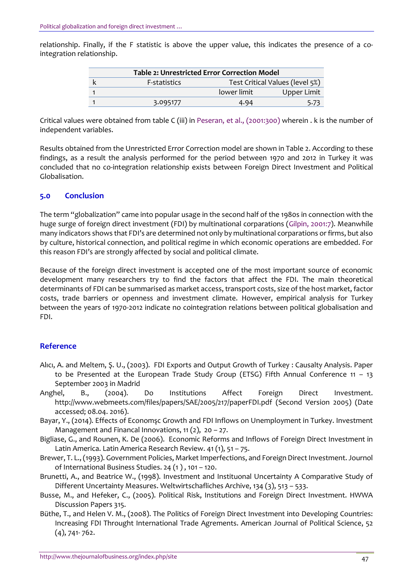relationship. Finally, if the F statistic is above the upper value, this indicates the presence of a cointegration relationship.

| <b>Table 2: Unrestricted Error Correction Model</b> |                     |                                 |             |  |  |
|-----------------------------------------------------|---------------------|---------------------------------|-------------|--|--|
|                                                     | <b>F-statistics</b> | Test Critical Values (level 5%) |             |  |  |
|                                                     |                     | lower limit                     | Upper Limit |  |  |
|                                                     | 3.095177            | 4.94                            | 5.73        |  |  |

Critical values were obtained from table C (iii) in Peseran, et al., [\(2001:300\)](#page-5-9) wherein . k is the number of independent variables.

Results obtained from the Unrestricted Error Correction model are shown in Table 2. According to these findings, as a result the analysis performed for the period between 1970 and 2012 in Turkey it was concluded that no co-integration relationship exists between Foreign Direct Investment and Political Globalisation.

#### **5.0 Conclusion**

The term "globalization" came into popular usage in the second half of the 1980s in connection with the huge surge of foreign direct investment (FDI) by multinational corparations [\(Gilpin, 2001:7\)](#page-5-10). Meanwhile many indicators shows that FDI's are determined not only by multinational corparations or firms, but also by culture, historical connection, and political regime in which economic operations are embedded. For this reason FDI's are strongly affected by social and political climate.

Because of the foreign direct investment is accepted one of the most important source of economic development many researchers try to find the factors that affect the FDI. The main theoretical determinants of FDI can be summarised as market access, transport costs, size of the host market, factor costs, trade barriers or openness and investment climate. However, empirical analysis for Turkey between the years of 1970-2012 indicate no cointegration relations between political globalisation and FDI.

#### **Reference**

- Alıcı, A. and Meltem, Ş. U., (2003). FDI Exports and Output Growth of Turkey : Causalty Analysis. Paper to be Presented at the European Trade Study Group (ETSG) Fifth Annual Conference 11 – 13 September 2003 in Madrid
- <span id="page-4-1"></span>Anghel, B., (2004). Do Institutions Affect Foreign Direct Investment. <http://www.webmeets.com/files/papers/SAE/2005/217/paperFDI.pdf> (Second Version 2005) (Date accessed; 08.04. 2016).
- Bayar, Y., (2014). Effects of Economsc Growth and FDI Inflows on Unemployment in Turkey. Investment Management and Financal Innovations,  $11(2)$ ,  $20 - 27$ .
- <span id="page-4-2"></span>Bigliase, G., and Rounen, K. De (2006). Economic Reforms and Inflows of Foreign Direct Investment in Latin America. Latin America Research Review. 41 (1), 51 – 75.
- Brewer, T. L.,(1993). Government Policies, Market Imperfections, and Foreign Direct Investment. Journol of International Business Studies. 24 (1 ) , 101 – 120.
- <span id="page-4-0"></span>Brunetti, A., and Beatrice W., (1998). Investment and Instituonal Uncertainty A Comparative Study of Different Uncertainty Measures. Weltwirtschafliches Archive, 134 (3), 513 – 533.
- Busse, M., and Hefeker, C., (2005). Political Risk, Institutions and Foreign Direct Investment. HWWA Discussion Papers 315.
- Büthe, T., and Helen V. M., (2008). The Politics of Foreign Direct Investment into Developing Countries: Increasing FDI Throught International Trade Agrements. American Journal of Political Science, 52 (4), 741- 762.